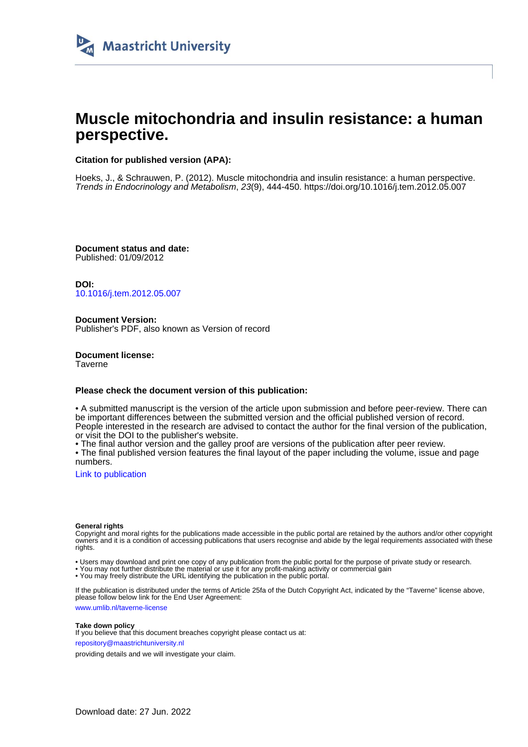

# **Muscle mitochondria and insulin resistance: a human perspective.**

#### **Citation for published version (APA):**

Hoeks, J., & Schrauwen, P. (2012). Muscle mitochondria and insulin resistance: a human perspective. Trends in Endocrinology and Metabolism, 23(9), 444-450. <https://doi.org/10.1016/j.tem.2012.05.007>

**Document status and date:** Published: 01/09/2012

**DOI:** [10.1016/j.tem.2012.05.007](https://doi.org/10.1016/j.tem.2012.05.007)

**Document Version:** Publisher's PDF, also known as Version of record

**Document license: Taverne** 

#### **Please check the document version of this publication:**

• A submitted manuscript is the version of the article upon submission and before peer-review. There can be important differences between the submitted version and the official published version of record. People interested in the research are advised to contact the author for the final version of the publication, or visit the DOI to the publisher's website.

• The final author version and the galley proof are versions of the publication after peer review.

• The final published version features the final layout of the paper including the volume, issue and page numbers.

[Link to publication](https://cris.maastrichtuniversity.nl/en/publications/9f8b6e57-43d5-48ff-ad46-c0bd60838241)

#### **General rights**

Copyright and moral rights for the publications made accessible in the public portal are retained by the authors and/or other copyright owners and it is a condition of accessing publications that users recognise and abide by the legal requirements associated with these rights.

• Users may download and print one copy of any publication from the public portal for the purpose of private study or research.

• You may not further distribute the material or use it for any profit-making activity or commercial gain

• You may freely distribute the URL identifying the publication in the public portal.

If the publication is distributed under the terms of Article 25fa of the Dutch Copyright Act, indicated by the "Taverne" license above, please follow below link for the End User Agreement:

www.umlib.nl/taverne-license

#### **Take down policy**

If you believe that this document breaches copyright please contact us at: repository@maastrichtuniversity.nl

providing details and we will investigate your claim.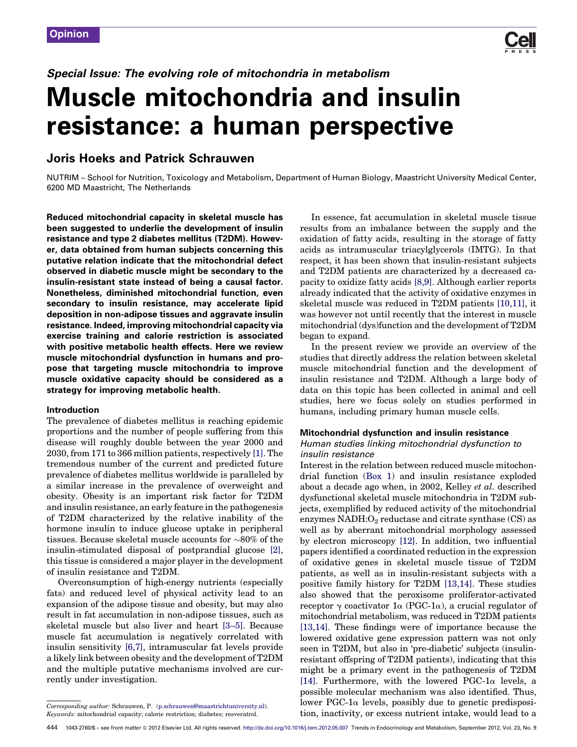

## Special Issue: The evolving role of mitochondria in metabolism

# Muscle mitochondria and insulin resistance: a human perspective

# Joris Hoeks and Patrick Schrauwen

NUTRIM – School for Nutrition, Toxicology and Metabolism, Department of Human Biology, Maastricht University Medical Center, 6200 MD Maastricht, The Netherlands

Reduced mitochondrial capacity in skeletal muscle has been suggested to underlie the development of insulin resistance and type 2 diabetes mellitus (T2DM). However, data obtained from human subjects concerning this putative relation indicate that the mitochondrial defect observed in diabetic muscle might be secondary to the insulin-resistant state instead of being a causal factor. Nonetheless, diminished mitochondrial function, even secondary to insulin resistance, may accelerate lipid deposition in non-adipose tissues and aggravate insulin resistance. Indeed, improving mitochondrial capacity via exercise training and calorie restriction is associated with positive metabolic health effects. Here we review muscle mitochondrial dysfunction in humans and propose that targeting muscle mitochondria to improve muscle oxidative capacity should be considered as a strategy for improving metabolic health.

#### Introduction

The prevalence of diabetes mellitus is reaching epidemic proportions and the number of people suffering from this disease will roughly double between the year 2000 and 2030, from 171 to 366 million patients, respectively [\[1\].](#page-6-0) The tremendous number of the current and predicted future prevalence of diabetes mellitus worldwide is paralleled by a similar increase in the prevalence of overweight and obesity. Obesity is an important risk factor for T2DM and insulin resistance, an early feature in the pathogenesis of T2DM characterized by the relative inability of the hormone insulin to induce glucose uptake in peripheral tissues. Because skeletal muscle accounts for  ${\sim}80\%$  of the insulin-stimulated disposal of postprandial glucose [\[2\]](#page-6-0), this tissue is considered a major player in the development of insulin resistance and T2DM.

Overconsumption of high-energy nutrients (especially fats) and reduced level of physical activity lead to an expansion of the adipose tissue and obesity, but may also result in fat accumulation in non-adipose tissues, such as skeletal muscle but also liver and heart [\[3–5\]](#page-6-0). Because muscle fat accumulation is negatively correlated with insulin sensitivity [\[6,7\],](#page-6-0) intramuscular fat levels provide a likely link between obesity and the development of T2DM and the multiple putative mechanisms involved are currently under investigation.

In essence, fat accumulation in skeletal muscle tissue results from an imbalance between the supply and the oxidation of fatty acids, resulting in the storage of fatty acids as intramuscular triacylglycerols (IMTG). In that respect, it has been shown that insulin-resistant subjects and T2DM patients are characterized by a decreased capacity to oxidize fatty acids [\[8,9\].](#page-6-0) Although earlier reports already indicated that the activity of oxidative enzymes in skeletal muscle was reduced in T2DM patients [\[10,11\]](#page-6-0), it was however not until recently that the interest in muscle mitochondrial (dys)function and the development of T2DM began to expand.

In the present review we provide an overview of the studies that directly address the relation between skeletal muscle mitochondrial function and the development of insulin resistance and T2DM. Although a large body of data on this topic has been collected in animal and cell studies, here we focus solely on studies performed in humans, including primary human muscle cells.

#### Mitochondrial dysfunction and insulin resistance

#### Human studies linking mitochondrial dysfunction to insulin resistance

Interest in the relation between reduced muscle mitochondrial function ([Box](#page-2-0) 1) and insulin resistance exploded about a decade ago when, in 2002, Kelley et al. described dysfunctional skeletal muscle mitochondria in T2DM subjects, exemplified by reduced activity of the mitochondrial enzymes  $NADH:O<sub>2</sub>$  reductase and citrate synthase  $(CS)$  as well as by aberrant mitochondrial morphology assessed by electron microscopy [\[12\].](#page-6-0) In addition, two influential papers identified a coordinated reduction in the expression of oxidative genes in skeletal muscle tissue of T2DM patients, as well as in insulin-resistant subjects with a positive family history for T2DM [\[13,14\]](#page-6-0). These studies also showed that the peroxisome proliferator-activated receptor  $\gamma$  coactivator 1 $\alpha$  (PGC-1 $\alpha$ ), a crucial regulator of mitochondrial metabolism, was reduced in T2DM patients [\[13,14\]](#page-6-0). These findings were of importance because the lowered oxidative gene expression pattern was not only seen in T2DM, but also in 'pre-diabetic' subjects (insulinresistant offspring of T2DM patients), indicating that this might be a primary event in the pathogenesis of T2DM [\[14\]](#page-6-0). Furthermore, with the lowered PGC-1 $\alpha$  levels, a possible molecular mechanism was also identified. Thus, lower PGC-1 $\alpha$  levels, possibly due to genetic predisposition, inactivity, or excess nutrient intake, would lead to a

Corresponding author: Schrauwen, P. [\(p.schrauwen@maastrichtuniversity.nl\)](mailto:p.schrauwen@maastrichtuniversity.nl). Keywords: mitochondrial capacity; calorie restriction; diabetes; resveratrol.

<sup>444 1043-2760/\$ –</sup> see front matter © 2012 Elsevier Ltd. All rights reserved. <http://dx.doi.org/10.1016/j.tem.2012.05.007> Trends in Endocrinology and Metabolism, September 2012, Vol. 23, No. 9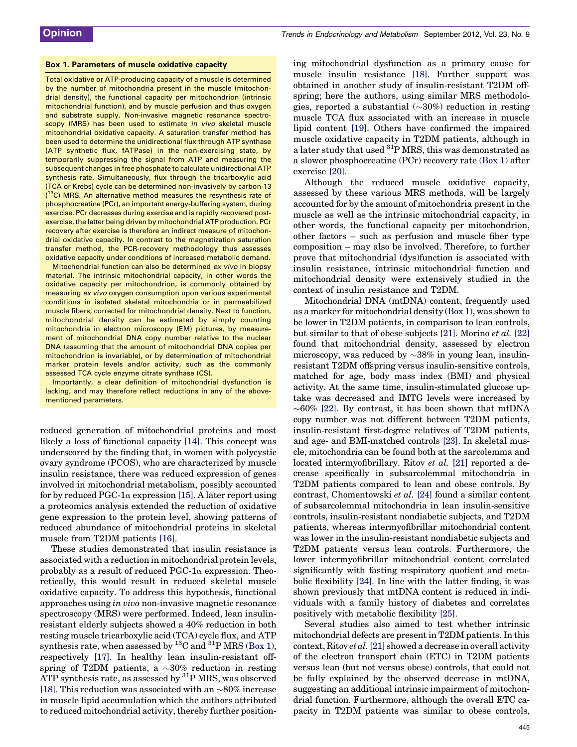#### <span id="page-2-0"></span>Box 1. Parameters of muscle oxidative capacity

Total oxidative or ATP-producing capacity of a muscle is determined by the number of mitochondria present in the muscle (mitochondrial density), the functional capacity per mitochondrion (intrinsic mitochondrial function), and by muscle perfusion and thus oxygen and substrate supply. Non-invasive magnetic resonance spectroscopy (MRS) has been used to estimate *in vivo* skeletal muscle mitochondrial oxidative capacity. A saturation transfer method has been used to determine the unidirectional flux through ATP synthase (ATP synthetic flux, fATPase) in the non-exercising state, by temporarily suppressing the signal from ATP and measuring the subsequent changes in free phosphate to calculate unidirectional ATP synthesis rate. Simultaneously, flux through the tricarboxylic acid (TCA or Krebs) cycle can be determined non-invasively by carbon-13 (<sup>13</sup>C) MRS. An alternative method measures the resynthesis rate of phosphocreatine (PCr), an important energy-buffering system, during exercise. PCr decreases during exercise and is rapidly recovered postexercise, the latter being driven by mitochondrial ATP production. PCr recovery after exercise is therefore an indirect measure of mitochondrial oxidative capacity. In contrast to the magnetization saturation transfer method, the PCR-recovery methodology thus assesses oxidative capacity under conditions of increased metabolic demand.

Mitochondrial function can also be determined ex vivo in biopsy material. The intrinsic mitochondrial capacity, in other words the oxidative capacity per mitochondrion, is commonly obtained by measuring ex vivo oxygen consumption upon various experimental conditions in isolated skeletal mitochondria or in permeabilized muscle fibers, corrected for mitochondrial density. Next to function, mitochondrial density can be estimated by simply counting mitochondria in electron microscopy (EM) pictures, by measurement of mitochondrial DNA copy number relative to the nuclear DNA (assuming that the amount of mitochondrial DNA copies per mitochondrion is invariable), or by determination of mitochondrial marker protein levels and/or activity, such as the commonly assessed TCA cycle enzyme citrate synthase (CS).

Importantly, a clear definition of mitochondrial dysfunction is lacking, and may therefore reflect reductions in any of the abovementioned parameters.

reduced generation of mitochondrial proteins and most likely a loss of functional capacity [\[14\]](#page-6-0). This concept was underscored by the finding that, in women with polycystic ovary syndrome (PCOS), who are characterized by muscle insulin resistance, there was reduced expression of genes involved in mitochondrial metabolism, possibly accounted for by reduced PGC-1 $\alpha$  expression [\[15\].](#page-6-0) A later report using a proteomics analysis extended the reduction of oxidative gene expression to the protein level, showing patterns of reduced abundance of mitochondrial proteins in skeletal muscle from T2DM patients [\[16\].](#page-6-0)

These studies demonstrated that insulin resistance is associated with a reduction in mitochondrial protein levels, probably as a result of reduced PGC-1 $\alpha$  expression. Theoretically, this would result in reduced skeletal muscle oxidative capacity. To address this hypothesis, functional approaches using in vivo non-invasive magnetic resonance spectroscopy (MRS) were performed. Indeed, lean insulinresistant elderly subjects showed a 40% reduction in both resting muscle tricarboxylic acid (TCA) cycle flux, and ATP synthesis rate, when assessed by  ${}^{13}$ C and  ${}^{31}$ P MRS (Box 1), respectively [\[17\]](#page-6-0). In healthy lean insulin-resistant offspring of T2DM patients, a  $\sim$ 30% reduction in resting ATP synthesis rate, as assessed by  ${}^{31}P$  MRS, was observed [\[18\]](#page-6-0). This reduction was associated with an  $\sim80\%$  increase in muscle lipid accumulation which the authors attributed to reduced mitochondrial activity, thereby further positioning mitochondrial dysfunction as a primary cause for muscle insulin resistance [\[18\].](#page-6-0) Further support was obtained in another study of insulin-resistant T2DM offspring; here the authors, using similar MRS methodologies, reported a substantial  $(\sim]30\%)$  reduction in resting muscle TCA flux associated with an increase in muscle lipid content [\[19\].](#page-6-0) Others have confirmed the impaired muscle oxidative capacity in T2DM patients, although in a later study that used 31P MRS, this was demonstrated as a slower phosphocreatine (PCr) recovery rate (Box 1) after exercise [\[20\]](#page-6-0).

Although the reduced muscle oxidative capacity, assessed by these various MRS methods, will be largely accounted for by the amount of mitochondria present in the muscle as well as the intrinsic mitochondrial capacity, in other words, the functional capacity per mitochondrion, other factors – such as perfusion and muscle fiber type composition – may also be involved. Therefore, to further prove that mitochondrial (dys)function is associated with insulin resistance, intrinsic mitochondrial function and mitochondrial density were extensively studied in the context of insulin resistance and T2DM.

Mitochondrial DNA (mtDNA) content, frequently used as a marker for mitochondrial density (Box 1), was shown to be lower in T2DM patients, in comparison to lean controls, but similar to that of obese subjects [\[21\].](#page-6-0) Morino et al. [\[22\]](#page-6-0) found that mitochondrial density, assessed by electron microscopy, was reduced by  $\sim$ 38% in young lean, insulinresistant T2DM offspring versus insulin-sensitive controls, matched for age, body mass index (BMI) and physical activity. At the same time, insulin-stimulated glucose uptake was decreased and IMTG levels were increased by  $\sim$  60% [\[22\]](#page-6-0). By contrast, it has been shown that mtDNA copy number was not different between T2DM patients, insulin-resistant first-degree relatives of T2DM patients, and age- and BMI-matched controls [\[23\]](#page-6-0). In skeletal muscle, mitochondria can be found both at the sarcolemma and located intermyofibrillary. Ritov *et al.* [\[21\]](#page-6-0) reported a decrease specifically in subsarcolemmal mitochondria in T2DM patients compared to lean and obese controls. By contrast, Chomentowski et al. [\[24\]](#page-6-0) found a similar content of subsarcolemmal mitochondria in lean insulin-sensitive controls, insulin-resistant nondiabetic subjects, and T2DM patients, whereas intermyofibrillar mitochondrial content was lower in the insulin-resistant nondiabetic subjects and T2DM patients versus lean controls. Furthermore, the lower intermyofibrillar mitochondrial content correlated significantly with fasting respiratory quotient and metabolic flexibility [\[24\].](#page-6-0) In line with the latter finding, it was shown previously that mtDNA content is reduced in individuals with a family history of diabetes and correlates positively with metabolic flexibility [\[25\]](#page-6-0).

Several studies also aimed to test whether intrinsic mitochondrial defects are present in T2DM patients. In this context, Ritov et al.[\[21\]](#page-6-0) showed a decrease in overall activity of the electron transport chain (ETC) in T2DM patients versus lean (but not versus obese) controls, that could not be fully explained by the observed decrease in mtDNA, suggesting an additional intrinsic impairment of mitochondrial function. Furthermore, although the overall ETC capacity in T2DM patients was similar to obese controls,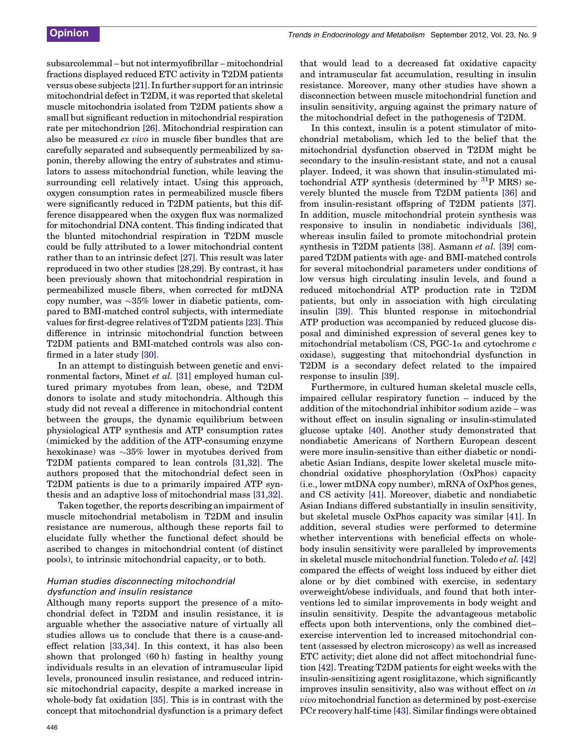subsarcolemmal – but notintermyofibrillar – mitochondrial fractions displayed reduced ETC activity in T2DM patients versus obese subjects [\[21\].](#page-6-0) In further support for an intrinsic mitochondrial defect in T2DM, it was reported that skeletal muscle mitochondria isolated from T2DM patients show a small but significant reduction in mitochondrial respiration rate per mitochondrion [\[26\].](#page-6-0) Mitochondrial respiration can also be measured ex vivo in muscle fiber bundles that are carefully separated and subsequently permeabilized by saponin, thereby allowing the entry of substrates and stimulators to assess mitochondrial function, while leaving the surrounding cell relatively intact. Using this approach, oxygen consumption rates in permeabilized muscle fibers were significantly reduced in T2DM patients, but this difference disappeared when the oxygen flux was normalized for mitochondrial DNA content. This finding indicated that the blunted mitochondrial respiration in T2DM muscle could be fully attributed to a lower mitochondrial content rather than to an intrinsic defect [\[27\].](#page-6-0) This result was later reproduced in two other studies [\[28,29\].](#page-6-0) By contrast, it has been previously shown that mitochondrial respiration in permeabilized muscle fibers, when corrected for mtDNA copy number, was  ${\sim}35\%$  lower in diabetic patients, compared to BMI-matched control subjects, with intermediate values for first-degree relatives of T2DM patients [\[23\].](#page-6-0) This difference in intrinsic mitochondrial function between T2DM patients and BMI-matched controls was also confirmed in a later study [\[30\]](#page-6-0).

In an attempt to distinguish between genetic and environmental factors, Minet et al. [\[31\]](#page-6-0) employed human cultured primary myotubes from lean, obese, and T2DM donors to isolate and study mitochondria. Although this study did not reveal a difference in mitochondrial content between the groups, the dynamic equilibrium between physiological ATP synthesis and ATP consumption rates (mimicked by the addition of the ATP-consuming enzyme hexokinase) was  ${\sim}35\%$  lower in myotubes derived from T2DM patients compared to lean controls [\[31,32\]](#page-6-0). The authors proposed that the mitochondrial defect seen in T2DM patients is due to a primarily impaired ATP synthesis and an adaptive loss of mitochondrial mass [\[31,32\]](#page-6-0).

Taken together, the reports describing an impairment of muscle mitochondrial metabolism in T2DM and insulin resistance are numerous, although these reports fail to elucidate fully whether the functional defect should be ascribed to changes in mitochondrial content (of distinct pools), to intrinsic mitochondrial capacity, or to both.

### Human studies disconnecting mitochondrial dysfunction and insulin resistance

Although many reports support the presence of a mitochondrial defect in T2DM and insulin resistance, it is arguable whether the associative nature of virtually all studies allows us to conclude that there is a cause-andeffect relation [\[33,34\].](#page-6-0) In this context, it has also been shown that prolonged (60 h) fasting in healthy young individuals results in an elevation of intramuscular lipid levels, pronounced insulin resistance, and reduced intrinsic mitochondrial capacity, despite a marked increase in whole-body fat oxidation [\[35\]](#page-6-0). This is in contrast with the concept that mitochondrial dysfunction is a primary defect that would lead to a decreased fat oxidative capacity and intramuscular fat accumulation, resulting in insulin resistance. Moreover, many other studies have shown a disconnection between muscle mitochondrial function and insulin sensitivity, arguing against the primary nature of the mitochondrial defect in the pathogenesis of T2DM.

In this context, insulin is a potent stimulator of mitochondrial metabolism, which led to the belief that the mitochondrial dysfunction observed in T2DM might be secondary to the insulin-resistant state, and not a causal player. Indeed, it was shown that insulin-stimulated mitochondrial ATP synthesis (determined by  ${}^{31}P$  MRS) severely blunted the muscle from T2DM patients [\[36\]](#page-6-0) and from insulin-resistant offspring of T2DM patients [\[37\]](#page-6-0). In addition, muscle mitochondrial protein synthesis was responsive to insulin in nondiabetic individuals [\[36\]](#page-6-0), whereas insulin failed to promote mitochondrial protein synthesis in T2DM patients [\[38\]](#page-6-0). Asmann et al. [\[39\]](#page-6-0) compared T2DM patients with age- and BMI-matched controls for several mitochondrial parameters under conditions of low versus high circulating insulin levels, and found a reduced mitochondrial ATP production rate in T2DM patients, but only in association with high circulating insulin [\[39\]](#page-6-0). This blunted response in mitochondrial ATP production was accompanied by reduced glucose disposal and diminished expression of several genes key to mitochondrial metabolism (CS, PGC-1 $\alpha$  and cytochrome  $c$ oxidase), suggesting that mitochondrial dysfunction in T2DM is a secondary defect related to the impaired response to insulin [\[39\]](#page-6-0).

Furthermore, in cultured human skeletal muscle cells, impaired cellular respiratory function – induced by the addition of the mitochondrial inhibitor sodium azide – was without effect on insulin signaling or insulin-stimulated glucose uptake [\[40\].](#page-6-0) Another study demonstrated that nondiabetic Americans of Northern European descent were more insulin-sensitive than either diabetic or nondiabetic Asian Indians, despite lower skeletal muscle mitochondrial oxidative phosphorylation (OxPhos) capacity (i.e., lower mtDNA copy number), mRNA of OxPhos genes, and CS activity [\[41\].](#page-6-0) Moreover, diabetic and nondiabetic Asian Indians differed substantially in insulin sensitivity, but skeletal muscle OxPhos capacity was similar [\[41\]](#page-6-0). In addition, several studies were performed to determine whether interventions with beneficial effects on wholebody insulin sensitivity were paralleled by improvements in skeletal muscle mitochondrial function. Toledo et al. [\[42\]](#page-6-0) compared the effects of weight loss induced by either diet alone or by diet combined with exercise, in sedentary overweight/obese individuals, and found that both interventions led to similar improvements in body weight and insulin sensitivity. Despite the advantageous metabolic effects upon both interventions, only the combined diet– exercise intervention led to increased mitochondrial content (assessed by electron microscopy) as well as increased ETC activity; diet alone did not affect mitochondrial function [\[42\]](#page-6-0). Treating T2DM patients for eight weeks with the insulin-sensitizing agent rosiglitazone, which significantly improves insulin sensitivity, also was without effect on in vivo mitochondrial function as determined by post-exercise PCr recovery half-time [\[43\]](#page-6-0). Similar findings were obtained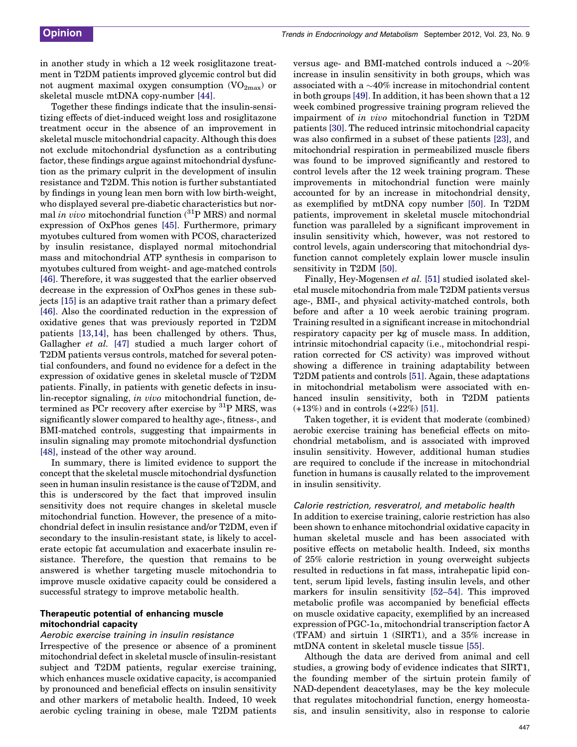in another study in which a 12 week rosiglitazone treatment in T2DM patients improved glycemic control but did not augment maximal oxygen consumption  $(VO_{2max})$  or skeletal muscle mtDNA copy-number [\[44\]](#page-6-0).

Together these findings indicate that the insulin-sensitizing effects of diet-induced weight loss and rosiglitazone treatment occur in the absence of an improvement in skeletal muscle mitochondrial capacity. Although this does not exclude mitochondrial dysfunction as a contributing factor, these findings argue against mitochondrial dysfunction as the primary culprit in the development of insulin resistance and T2DM. This notion is further substantiated by findings in young lean men born with low birth-weight, who displayed several pre-diabetic characteristics but normal in vivo mitochondrial function (<sup>31</sup>P MRS) and normal expression of OxPhos genes [\[45\]](#page-6-0). Furthermore, primary myotubes cultured from women with PCOS, characterized by insulin resistance, displayed normal mitochondrial mass and mitochondrial ATP synthesis in comparison to myotubes cultured from weight- and age-matched controls [\[46\]](#page-7-0). Therefore, it was suggested that the earlier observed decrease in the expression of OxPhos genes in these subjects [\[15\]](#page-6-0) is an adaptive trait rather than a primary defect [\[46\]](#page-7-0). Also the coordinated reduction in the expression of oxidative genes that was previously reported in T2DM patients [\[13,14\],](#page-6-0) has been challenged by others. Thus, Gallagher et al. [\[47\]](#page-7-0) studied a much larger cohort of T2DM patients versus controls, matched for several potential confounders, and found no evidence for a defect in the expression of oxidative genes in skeletal muscle of T2DM patients. Finally, in patients with genetic defects in insulin-receptor signaling, in vivo mitochondrial function, determined as PCr recovery after exercise by  ${}^{31}P$  MRS, was significantly slower compared to healthy age-, fitness-, and BMI-matched controls, suggesting that impairments in insulin signaling may promote mitochondrial dysfunction [\[48\]](#page-7-0), instead of the other way around.

In summary, there is limited evidence to support the concept that the skeletal muscle mitochondrial dysfunction seen in human insulin resistance is the cause of T2DM, and this is underscored by the fact that improved insulin sensitivity does not require changes in skeletal muscle mitochondrial function. However, the presence of a mitochondrial defect in insulin resistance and/or T2DM, even if secondary to the insulin-resistant state, is likely to accelerate ectopic fat accumulation and exacerbate insulin resistance. Therefore, the question that remains to be answered is whether targeting muscle mitochondria to improve muscle oxidative capacity could be considered a successful strategy to improve metabolic health.

#### Therapeutic potential of enhancing muscle mitochondrial capacity

#### Aerobic exercise training in insulin resistance

Irrespective of the presence or absence of a prominent mitochondrial defect in skeletal muscle of insulin-resistant subject and T2DM patients, regular exercise training, which enhances muscle oxidative capacity, is accompanied by pronounced and beneficial effects on insulin sensitivity and other markers of metabolic health. Indeed, 10 week aerobic cycling training in obese, male T2DM patients

versus age- and BMI-matched controls induced a  $\sim$ 20% increase in insulin sensitivity in both groups, which was associated with a  $\sim$ 40% increase in mitochondrial content in both groups [\[49\]](#page-7-0). In addition, it has been shown that a 12 week combined progressive training program relieved the impairment of in vivo mitochondrial function in T2DM patients [\[30\].](#page-6-0) The reduced intrinsic mitochondrial capacity was also confirmed in a subset of these patients [\[23\],](#page-6-0) and mitochondrial respiration in permeabilized muscle fibers was found to be improved significantly and restored to control levels after the 12 week training program. These improvements in mitochondrial function were mainly accounted for by an increase in mitochondrial density, as exemplified by mtDNA copy number [\[50\]](#page-7-0). In T2DM patients, improvement in skeletal muscle mitochondrial function was paralleled by a significant improvement in insulin sensitivity which, however, was not restored to control levels, again underscoring that mitochondrial dysfunction cannot completely explain lower muscle insulin sensitivity in T2DM [\[50\]](#page-7-0).

Finally, Hey-Mogensen et al. [\[51\]](#page-7-0) studied isolated skeletal muscle mitochondria from male T2DM patients versus age-, BMI-, and physical activity-matched controls, both before and after a 10 week aerobic training program. Training resulted in a significantincrease in mitochondrial respiratory capacity per kg of muscle mass. In addition, intrinsic mitochondrial capacity (i.e., mitochondrial respiration corrected for CS activity) was improved without showing a difference in training adaptability between T2DM patients and controls [\[51\].](#page-7-0) Again, these adaptations in mitochondrial metabolism were associated with enhanced insulin sensitivity, both in T2DM patients (+13%) and in controls (+22%) [\[51\]](#page-7-0).

Taken together, it is evident that moderate (combined) aerobic exercise training has beneficial effects on mitochondrial metabolism, and is associated with improved insulin sensitivity. However, additional human studies are required to conclude if the increase in mitochondrial function in humans is causally related to the improvement in insulin sensitivity.

#### Calorie restriction, resveratrol, and metabolic health

In addition to exercise training, calorie restriction has also been shown to enhance mitochondrial oxidative capacity in human skeletal muscle and has been associated with positive effects on metabolic health. Indeed, six months of 25% calorie restriction in young overweight subjects resulted in reductions in fat mass, intrahepatic lipid content, serum lipid levels, fasting insulin levels, and other markers for insulin sensitivity [\[52–54\]](#page-7-0). This improved metabolic profile was accompanied by beneficial effects on muscle oxidative capacity, exemplified by an increased expression of PGC-1 $\alpha$ , mitochondrial transcription factor A (TFAM) and sirtuin 1 (SIRT1), and a 35% increase in mtDNA content in skeletal muscle tissue [\[55\].](#page-7-0)

Although the data are derived from animal and cell studies, a growing body of evidence indicates that SIRT1, the founding member of the sirtuin protein family of NAD-dependent deacetylases, may be the key molecule that regulates mitochondrial function, energy homeostasis, and insulin sensitivity, also in response to calorie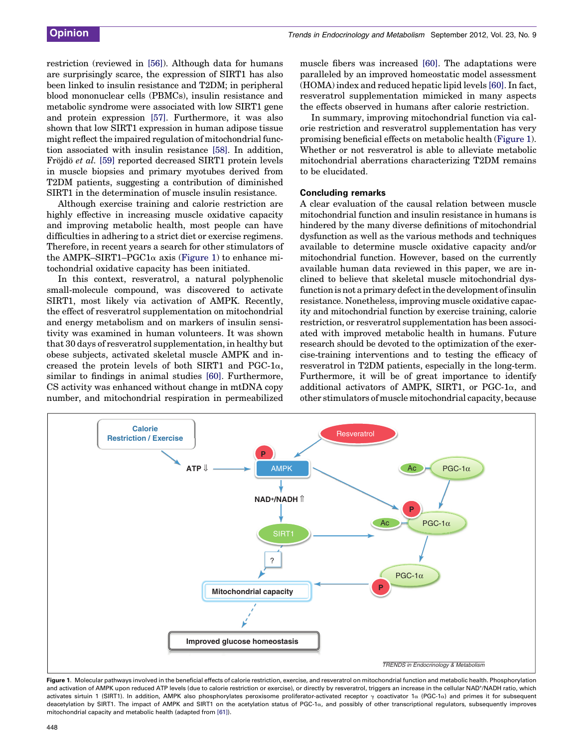restriction (reviewed in [\[56\]\)](#page-7-0). Although data for humans are surprisingly scarce, the expression of SIRT1 has also been linked to insulin resistance and T2DM; in peripheral blood mononuclear cells (PBMCs), insulin resistance and metabolic syndrome were associated with low SIRT1 gene and protein expression [\[57\]](#page-7-0). Furthermore, it was also shown that low SIRT1 expression in human adipose tissue might reflect the impaired regulation of mitochondrial function associated with insulin resistance [\[58\].](#page-7-0) In addition, Fröjdö et al. [\[59\]](#page-7-0) reported decreased SIRT1 protein levels in muscle biopsies and primary myotubes derived from T2DM patients, suggesting a contribution of diminished SIRT1 in the determination of muscle insulin resistance.

Although exercise training and calorie restriction are highly effective in increasing muscle oxidative capacity and improving metabolic health, most people can have difficulties in adhering to a strict diet or exercise regimens. Therefore, in recent years a search for other stimulators of the AMPK–SIRT1–PGC1 $\alpha$  axis (Figure 1) to enhance mitochondrial oxidative capacity has been initiated.

In this context, resveratrol, a natural polyphenolic small-molecule compound, was discovered to activate SIRT1, most likely via activation of AMPK. Recently, the effect of resveratrol supplementation on mitochondrial and energy metabolism and on markers of insulin sensitivity was examined in human volunteers. It was shown that 30 days of resveratrol supplementation, in healthy but obese subjects, activated skeletal muscle AMPK and increased the protein levels of both SIRT1 and PGC-1 $\alpha$ , similar to findings in animal studies [\[60\]](#page-7-0). Furthermore, CS activity was enhanced without change in mtDNA copy number, and mitochondrial respiration in permeabilized

muscle fibers was increased [\[60\].](#page-7-0) The adaptations were paralleled by an improved homeostatic model assessment (HOMA) index and reduced hepatic lipid levels [\[60\]](#page-7-0). In fact, resveratrol supplementation mimicked in many aspects the effects observed in humans after calorie restriction.

In summary, improving mitochondrial function via calorie restriction and resveratrol supplementation has very promising beneficial effects on metabolic health (Figure 1). Whether or not resveratrol is able to alleviate metabolic mitochondrial aberrations characterizing T2DM remains to be elucidated.

#### Concluding remarks

A clear evaluation of the causal relation between muscle mitochondrial function and insulin resistance in humans is hindered by the many diverse definitions of mitochondrial dysfunction as well as the various methods and techniques available to determine muscle oxidative capacity and/or mitochondrial function. However, based on the currently available human data reviewed in this paper, we are inclined to believe that skeletal muscle mitochondrial dysfunction is not a primary defect in the development of insulin resistance. Nonetheless, improving muscle oxidative capacity and mitochondrial function by exercise training, calorie restriction, or resveratrol supplementation has been associated with improved metabolic health in humans. Future research should be devoted to the optimization of the exercise-training interventions and to testing the efficacy of resveratrol in T2DM patients, especially in the long-term. Furthermore, it will be of great importance to identify additional activators of AMPK, SIRT1, or PGC-1 $\alpha$ , and other stimulators of muscle mitochondrial capacity, because



Figure 1. Molecular pathways involved in the beneficial effects of calorie restriction, exercise, and resveratrol on mitochondrial function and metabolic health. Phosphorylation and activation of AMPK upon reduced ATP levels (due to calorie restriction or exercise), or directly by resveratrol, triggers an increase in the cellular NAD+/NADH ratio, which activates sirtuin 1 (SIRT1). In addition, AMPK also phosphorylates peroxisome proliferator-activated receptor  $\gamma$  coactivator 1 $\alpha$  (PGC-1 $\alpha$ ) and primes it for subsequent deacetylation by SIRT1. The impact of AMPK and SIRT1 on the acetylation status of PGC-1 $\alpha$ , and possibly of other transcriptional regulators, subsequently improves mitochondrial capacity and metabolic health (adapted from [\[61\]\)](#page-7-0).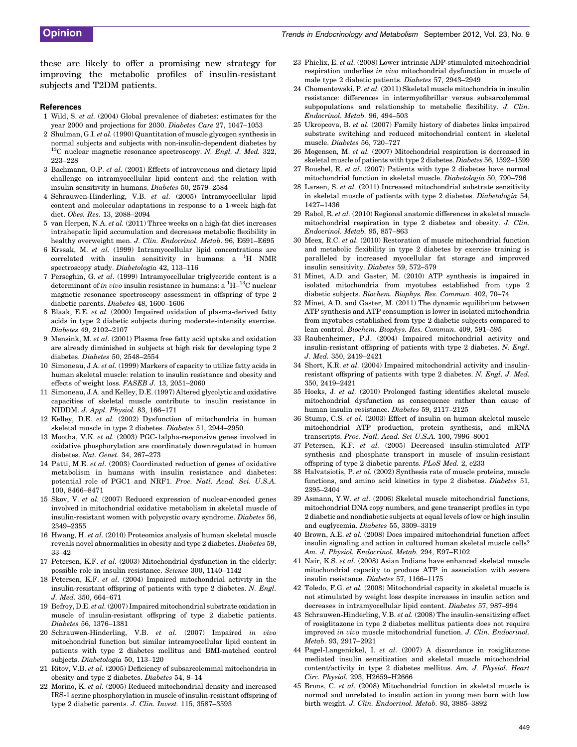<span id="page-6-0"></span>these are likely to offer a promising new strategy for improving the metabolic profiles of insulin-resistant subjects and T2DM patients.

#### References

- 1 Wild, S. et al. (2004) Global prevalence of diabetes: estimates for the year 2000 and projections for 2030. Diabetes Care 27, 1047–1053
- 2 Shulman, G.I. et al. (1990) Quantitation of muscle glycogen synthesis in normal subjects and subjects with non-insulin-dependent diabetes by  $13C$  nuclear magnetic resonance spectroscopy. N. Engl. J. Med. 322, 223–228
- 3 Bachmann, O.P. et al. (2001) Effects of intravenous and dietary lipid challenge on intramyocellular lipid content and the relation with insulin sensitivity in humans. Diabetes 50, 2579–2584
- 4 Schrauwen-Hinderling, V.B. et al. (2005) Intramyocellular lipid content and molecular adaptations in response to a 1-week high-fat diet. Obes. Res. 13, 2088–2094
- 5 van Herpen, N.A. et al. (2011) Three weeks on a high-fat diet increases intrahepatic lipid accumulation and decreases metabolic flexibility in healthy overweight men. J. Clin. Endocrinol. Metab. 96, E691–E695
- 6 Krssak, M. et al. (1999) Intramyocellular lipid concentrations are correlated with insulin sensitivity in humans: a <sup>1</sup>H NMR spectroscopy study. Diabetologia 42, 113–116
- 7 Perseghin, G. et al. (1999) Intramyocellular triglyceride content is a determinant of *in vivo* insulin resistance in humans: a  $^{1}$ H $-^{13}$ C nuclear magnetic resonance spectroscopy assessment in offspring of type 2 diabetic parents. Diabetes 48, 1600–1606
- 8 Blaak, E.E. et al. (2000) Impaired oxidation of plasma-derived fatty acids in type 2 diabetic subjects during moderate-intensity exercise. Diabetes 49, 2102–2107
- 9 Mensink, M. et al. (2001) Plasma free fatty acid uptake and oxidation are already diminished in subjects at high risk for developing type 2 diabetes. Diabetes 50, 2548–2554
- 10 Simoneau, J.A. et al. (1999) Markers of capacity to utilize fatty acids in human skeletal muscle: relation to insulin resistance and obesity and effects of weight loss. FASEB J. 13, 2051–2060
- 11 Simoneau, J.A. and Kelley, D.E. (1997) Altered glycolytic and oxidative capacities of skeletal muscle contribute to insulin resistance in NIDDM. J. Appl. Physiol. 83, 166–171
- 12 Kelley, D.E. et al. (2002) Dysfunction of mitochondria in human skeletal muscle in type 2 diabetes. Diabetes 51, 2944–2950
- 13 Mootha, V.K. et al. (2003) PGC-1alpha-responsive genes involved in oxidative phosphorylation are coordinately downregulated in human diabetes. Nat. Genet. 34, 267–273
- 14 Patti, M.E. et al. (2003) Coordinated reduction of genes of oxidative metabolism in humans with insulin resistance and diabetes: potential role of PGC1 and NRF1. Proc. Natl. Acad. Sci. U.S.A. 100, 8466–8471
- 15 Skov, V. et al. (2007) Reduced expression of nuclear-encoded genes involved in mitochondrial oxidative metabolism in skeletal muscle of insulin-resistant women with polycystic ovary syndrome. Diabetes 56, 2349–2355
- 16 Hwang, H. et al. (2010) Proteomics analysis of human skeletal muscle reveals novel abnormalities in obesity and type 2 diabetes. Diabetes 59, 33–42
- 17 Petersen, K.F. et al. (2003) Mitochondrial dysfunction in the elderly: possible role in insulin resistance. Science 300, 1140–1142
- 18 Petersen, K.F. et al. (2004) Impaired mitochondrial activity in the insulin-resistant offspring of patients with type 2 diabetes. N. Engl. J. Med. 350, 664–671
- 19 Befroy, D.E. et al. (2007) Impaired mitochondrial substrate oxidation in muscle of insulin-resistant offspring of type 2 diabetic patients. Diabetes 56, 1376–1381
- 20 Schrauwen-Hinderling, V.B. et al. (2007) Impaired in vivo mitochondrial function but similar intramyocellular lipid content in patients with type 2 diabetes mellitus and BMI-matched control subjects. Diabetologia 50, 113–120
- 21 Ritov, V.B. et al. (2005) Deficiency of subsarcolemmal mitochondria in obesity and type 2 diabetes. Diabetes 54, 8–14
- 22 Morino, K. et al. (2005) Reduced mitochondrial density and increased IRS-1 serine phosphorylation in muscle of insulin-resistant offspring of type 2 diabetic parents. J. Clin. Invest. 115, 3587–3593
- 23 Phielix, E. et al. (2008) Lower intrinsic ADP-stimulated mitochondrial respiration underlies in vivo mitochondrial dysfunction in muscle of male type 2 diabetic patients. Diabetes 57, 2943–2949
- 24 Chomentowski, P. et al. (2011) Skeletal muscle mitochondria in insulin resistance: differences in intermyofibrillar versus subsarcolemmal subpopulations and relationship to metabolic flexibility. J. Clin. Endocrinol. Metab. 96, 494–503
- 25 Ukropcova, B. et al. (2007) Family history of diabetes links impaired substrate switching and reduced mitochondrial content in skeletal muscle. Diabetes 56, 720–727
- 26 Mogensen, M. et al. (2007) Mitochondrial respiration is decreased in skeletal muscle of patients with type 2 diabetes. Diabetes 56, 1592–1599
- 27 Boushel, R. et al. (2007) Patients with type 2 diabetes have normal mitochondrial function in skeletal muscle. Diabetologia 50, 790–796
- 28 Larsen, S. et al.  $(2011)$  Increased mitochondrial substrate sensitivity in skeletal muscle of patients with type 2 diabetes. Diabetologia 54, 1427–1436
- 29 Rabol, R. et al. (2010) Regional anatomic differences in skeletal muscle mitochondrial respiration in type 2 diabetes and obesity. J. Clin. Endocrinol. Metab. 95, 857–863
- 30 Meex, R.C. et al. (2010) Restoration of muscle mitochondrial function and metabolic flexibility in type 2 diabetes by exercise training is paralleled by increased myocellular fat storage and improved insulin sensitivity. Diabetes 59, 572–579
- 31 Minet, A.D. and Gaster, M. (2010) ATP synthesis is impaired in isolated mitochondria from myotubes established from type 2 diabetic subjects. Biochem. Biophys. Res. Commun. 402, 70–74
- 32 Minet, A.D. and Gaster, M. (2011) The dynamic equilibrium between ATP synthesis and ATP consumption is lower in isolated mitochondria from myotubes established from type 2 diabetic subjects compared to lean control. Biochem. Biophys. Res. Commun. 409, 591–595
- 33 Raubenheimer, P.J. (2004) Impaired mitochondrial activity and insulin-resistant offspring of patients with type 2 diabetes. N. Engl. J. Med. 350, 2419–2421
- 34 Short, K.R. et al. (2004) Impaired mitochondrial activity and insulinresistant offspring of patients with type 2 diabetes. N. Engl. J. Med. 350, 2419–2421
- 35 Hoeks, J. et al. (2010) Prolonged fasting identifies skeletal muscle mitochondrial dysfunction as consequence rather than cause of human insulin resistance. Diabetes 59, 2117–2125
- 36 Stump, C.S. et al. (2003) Effect of insulin on human skeletal muscle mitochondrial ATP production, protein synthesis, and mRNA transcripts. Proc. Natl. Acad. Sci U.S.A. 100, 7996–8001
- 37 Petersen, K.F. et al. (2005) Decreased insulin-stimulated ATP synthesis and phosphate transport in muscle of insulin-resistant offspring of type 2 diabetic parents. PLoS Med. 2, e233
- 38 Halvatsiotis, P. et al. (2002) Synthesis rate of muscle proteins, muscle functions, and amino acid kinetics in type 2 diabetes. Diabetes 51, 2395–2404
- 39 Asmann, Y.W. et al. (2006) Skeletal muscle mitochondrial functions, mitochondrial DNA copy numbers, and gene transcript profiles in type 2 diabetic and nondiabetic subjects at equal levels of low or high insulin and euglycemia. Diabetes 55, 3309–3319
- 40 Brown, A.E. et al. (2008) Does impaired mitochondrial function affect insulin signaling and action in cultured human skeletal muscle cells? Am. J. Physiol. Endocrinol. Metab. 294, E97–E102
- 41 Nair, K.S. et al. (2008) Asian Indians have enhanced skeletal muscle mitochondrial capacity to produce ATP in association with severe insulin resistance. Diabetes 57, 1166–1175
- 42 Toledo, F.G. et al. (2008) Mitochondrial capacity in skeletal muscle is not stimulated by weight loss despite increases in insulin action and decreases in intramyocellular lipid content. Diabetes 57, 987–994
- 43 Schrauwen-Hinderling, V.B. et al. (2008) The insulin-sensitizing effect of rosiglitazone in type 2 diabetes mellitus patients does not require improved in vivo muscle mitochondrial function. J. Clin. Endocrinol. Metab. 93, 2917–2921
- 44 Pagel-Langenickel, I. et al.  $(2007)$  A discordance in rosiglitazone mediated insulin sensitization and skeletal muscle mitochondrial content/activity in type 2 diabetes mellitus. Am. J. Physiol. Heart Circ. Physiol. 293, H2659–H2666
- 45 Brons, C. et al. (2008) Mitochondrial function in skeletal muscle is normal and unrelated to insulin action in young men born with low birth weight. J. Clin. Endocrinol. Metab. 93, 3885–3892